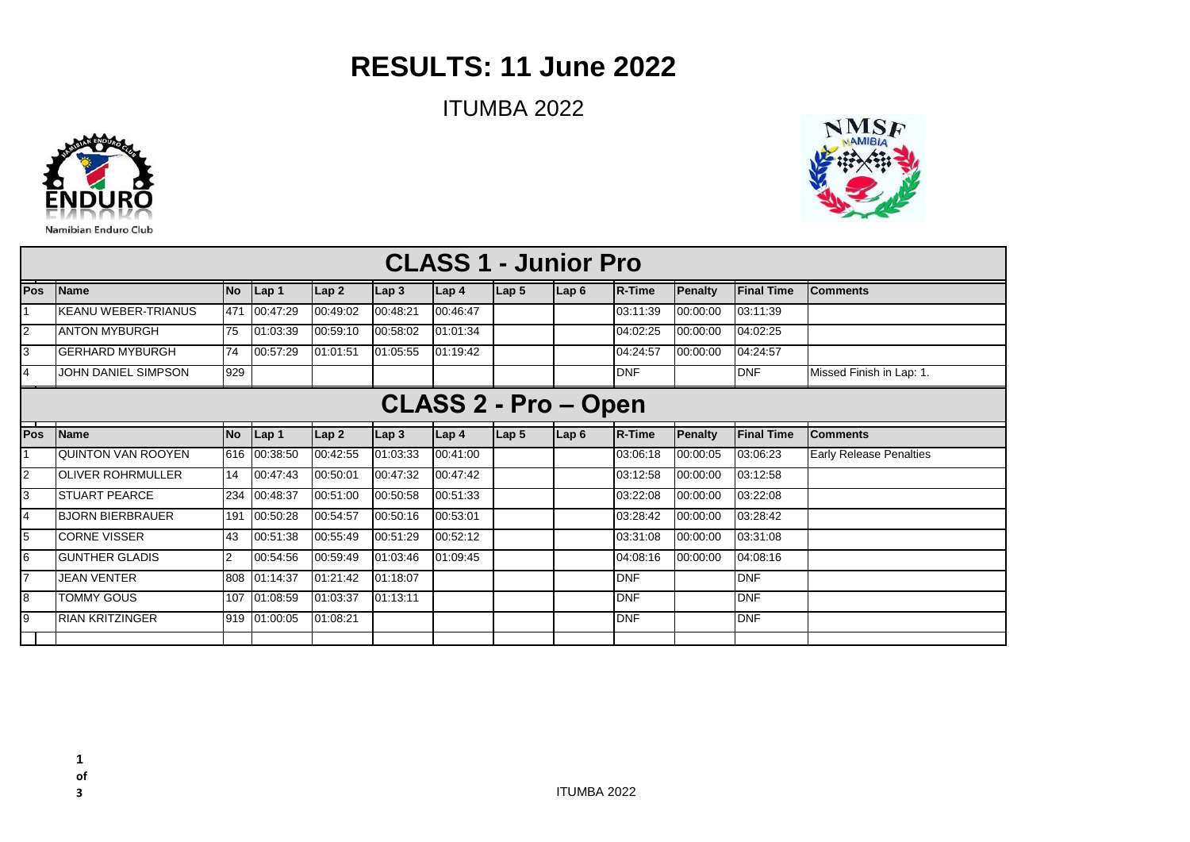## **RESULTS: 11 June 2022**

ITUMBA 2022



|  | NMSF |  |
|--|------|--|
|  |      |  |
|  |      |  |
|  |      |  |

| <b>CLASS 1 - Junior Pro</b> |                            |                |                 |                  |          |                  |                 |                  |               |          |                   |                                |
|-----------------------------|----------------------------|----------------|-----------------|------------------|----------|------------------|-----------------|------------------|---------------|----------|-------------------|--------------------------------|
| <b>Pos</b>                  | <b>Name</b>                | <b>No</b>      | $\lfloor$ Lap 1 | Lap2             | Lap3     | Lap <sub>4</sub> | Lap 5           | Lap <sub>6</sub> | <b>R-Time</b> | Penalty  | <b>Final Time</b> | <b>Comments</b>                |
|                             | <b>KEANU WEBER-TRIANUS</b> | 471            | 00:47:29        | 00:49:02         | 00:48:21 | 00:46:47         |                 |                  | 03:11:39      | 00:00:00 | 03:11:39          |                                |
| 2                           | <b>ANTON MYBURGH</b>       | 75             | 01:03:39        | 00:59:10         | 00:58:02 | 01:01:34         |                 |                  | 04:02:25      | 00:00:00 | 04:02:25          |                                |
| l3                          | <b>GERHARD MYBURGH</b>     | 74             | 00:57:29        | 01:01:51         | 01:05:55 | 01:19:42         |                 |                  | 04:24:57      | 00:00:00 | 04:24:57          |                                |
| $\overline{4}$              | JOHN DANIEL SIMPSON        | 929            |                 |                  |          |                  |                 |                  | <b>DNF</b>    |          | <b>DNF</b>        | Missed Finish in Lap: 1.       |
| <b>CLASS 2 - Pro - Open</b> |                            |                |                 |                  |          |                  |                 |                  |               |          |                   |                                |
| <b>IPos</b>                 | <b>Name</b>                | <b>No</b>      | $\vert$ Lap 1   | Lap <sub>2</sub> | Lap3     | Lap <sub>4</sub> | $\lfloor$ Lap 5 | $\lfloor$ Lap 6  | R-Time        | Penalty  | <b>Final Time</b> | <b>Comments</b>                |
|                             | <b>QUINTON VAN ROOYEN</b>  |                | 616 00:38:50    | 00:42:55         | 01:03:33 | 00:41:00         |                 |                  | 03:06:18      | 00:00:05 | 03:06:23          | <b>Early Release Penalties</b> |
| I2                          | <b>OLIVER ROHRMULLER</b>   | 14             | 00:47:43        | 00:50:01         | 00:47:32 | 00:47:42         |                 |                  | 03:12:58      | 00:00:00 | 03:12:58          |                                |
| 3                           | <b>STUART PEARCE</b>       | 234            | 00:48:37        | 00:51:00         | 00:50:58 | 00:51:33         |                 |                  | 03:22:08      | 00:00:00 | 03:22:08          |                                |
| l4                          | <b>BJORN BIERBRAUER</b>    | 191            | 00:50:28        | 00:54:57         | 00:50:16 | 00:53:01         |                 |                  | 03:28:42      | 00:00:00 | 03:28:42          |                                |
| 5                           | <b>CORNE VISSER</b>        | 43             | 00:51:38        | 00:55:49         | 00:51:29 | 00:52:12         |                 |                  | 03:31:08      | 00:00:00 | 03:31:08          |                                |
| l6                          | <b>GUNTHER GLADIS</b>      | $\overline{2}$ | 00:54:56        | 00:59:49         | 01:03:46 | 01:09:45         |                 |                  | 04:08:16      | 00:00:00 | 04:08:16          |                                |
| $\overline{7}$              | <b>JEAN VENTER</b>         | 808            | 01:14:37        | 01:21:42         | 01:18:07 |                  |                 |                  | <b>DNF</b>    |          | <b>DNF</b>        |                                |
| l8                          | <b>TOMMY GOUS</b>          | 107            | 01:08:59        | 01:03:37         | 01:13:11 |                  |                 |                  | <b>DNF</b>    |          | <b>DNF</b>        |                                |
| l9                          | <b>RIAN KRITZINGER</b>     |                | 919 01:00:05    | 01:08:21         |          |                  |                 |                  | <b>DNF</b>    |          | <b>DNF</b>        |                                |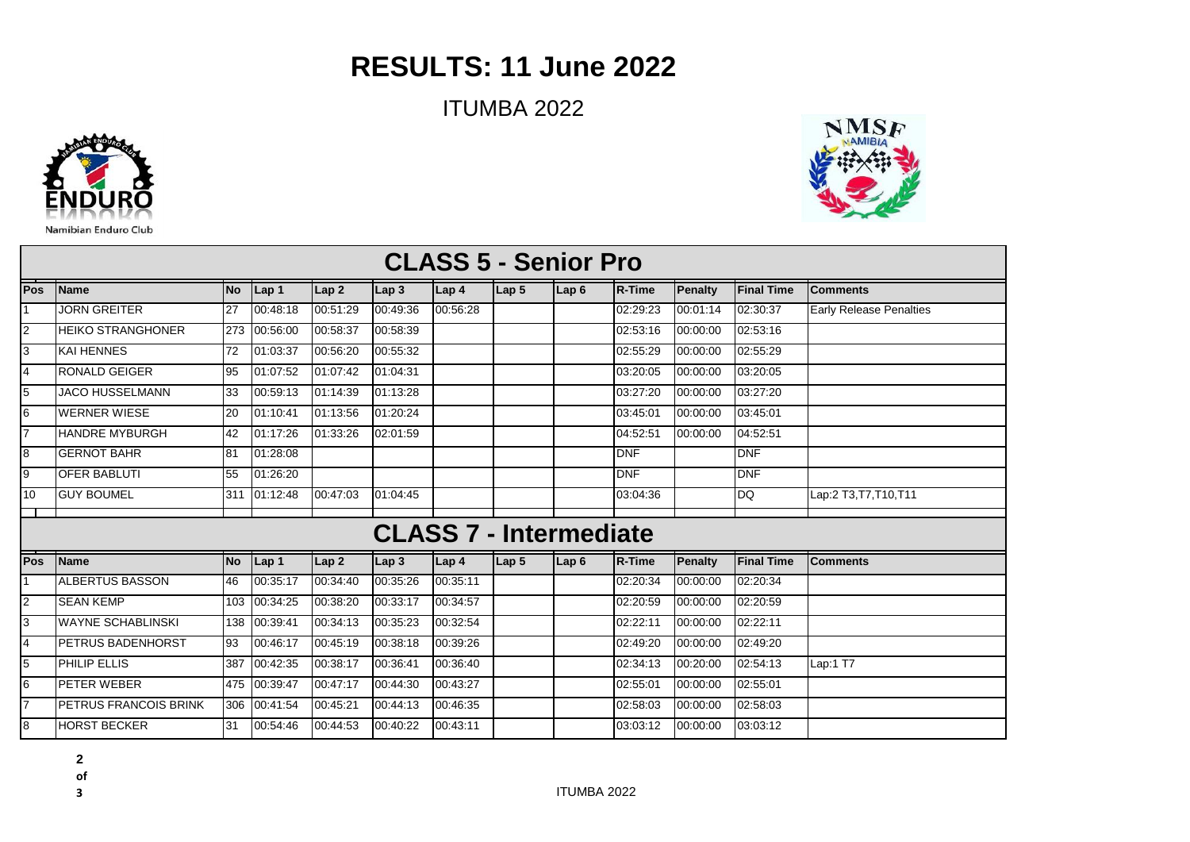## **RESULTS: 11 June 2022**

ITUMBA 2022



1 2

3 4

7 l8

 $\overline{9}$ 10

**Pos** 1

П

6 7

l8

4 5

2 3

5 6

**Pos**

| <b>CLASS 5 - Senior Pro</b> |           |          |                  |                  |                               |                  |                  |               |                |                   |                                |
|-----------------------------|-----------|----------|------------------|------------------|-------------------------------|------------------|------------------|---------------|----------------|-------------------|--------------------------------|
| <b>Name</b>                 | <b>No</b> | Lap 1    | Lap <sub>2</sub> | Lap <sub>3</sub> | Lap 4                         | Lap 5            | Lap <sub>6</sub> | <b>R-Time</b> | <b>Penalty</b> | <b>Final Time</b> | <b>Comments</b>                |
| <b>JORN GREITER</b>         | 27        | 00:48:18 | 00:51:29         | 00:49:36         | 00:56:28                      |                  |                  | 02:29:23      | 00:01:14       | 02:30:37          | <b>Early Release Penalties</b> |
| <b>HEIKO STRANGHONER</b>    | 273       | 00:56:00 | 00:58:37         | 00:58:39         |                               |                  |                  | 02:53:16      | 00:00:00       | 02:53:16          |                                |
| KAI HENNES                  | 72        | 01:03:37 | 00:56:20         | 00:55:32         |                               |                  |                  | 02:55:29      | 00:00:00       | 02:55:29          |                                |
| <b>RONALD GEIGER</b>        | 95        | 01:07:52 | 01:07:42         | 01:04:31         |                               |                  |                  | 03:20:05      | 00:00:00       | 03:20:05          |                                |
| <b>JACO HUSSELMANN</b>      | 33        | 00:59:13 | 01:14:39         | 01:13:28         |                               |                  |                  | 03:27:20      | 00:00:00       | 03:27:20          |                                |
| <b>WERNER WIESE</b>         | 20        | 01:10:41 | 01:13:56         | 01:20:24         |                               |                  |                  | 03:45:01      | 00:00:00       | 03:45:01          |                                |
| <b>HANDRE MYBURGH</b>       | 42        | 01:17:26 | 01:33:26         | 02:01:59         |                               |                  |                  | 04:52:51      | 00:00:00       | 04:52:51          |                                |
| <b>GERNOT BAHR</b>          | 81        | 01:28:08 |                  |                  |                               |                  |                  | DNF           |                | <b>DNF</b>        |                                |
| <b>OFER BABLUTI</b>         | 55        | 01:26:20 |                  |                  |                               |                  |                  | DNF           |                | <b>DNF</b>        |                                |
| <b>GUY BOUMEL</b>           | 311       | 01:12:48 | 00:47:03         | 01:04:45         |                               |                  |                  | 03:04:36      |                | <b>DQ</b>         | Lap:2 T3, T7, T10, T11         |
|                             |           |          |                  |                  | <b>CLASS 7 - Intermediate</b> |                  |                  |               |                |                   |                                |
| <b>Name</b>                 | <b>No</b> | Lap 1    | Lap <sub>2</sub> | $\mathsf{Lap}$ 3 | Lap 4                         | Lap <sub>5</sub> | Lap6             | <b>R-Time</b> | <b>Penalty</b> | <b>Final Time</b> | <b>Comments</b>                |
| ALBERTUS BASSON             | 46        | 00:35:17 | 00:34:40         | 00:35:26         | 00:35:11                      |                  |                  | 02:20:34      | 00:00:00       | 02:20:34          |                                |
| <b>SEAN KEMP</b>            | 103       | 00:34:25 | 00:38:20         | 00:33:17         | 00:34:57                      |                  |                  | 02:20:59      | 00:00:00       | 02:20:59          |                                |
| <b>WAYNE SCHABLINSKI</b>    | 138       | 00:39:41 | 00:34:13         | 00:35:23         | 00:32:54                      |                  |                  | 02:22:11      | 00:00:00       | 02:22:11          |                                |
| PETRUS BADENHORST           | 93        | 00:46:17 | 00:45:19         | 00:38:18         | 00:39:26                      |                  |                  | 02:49:20      | 00:00:00       | 02:49:20          |                                |
| PHILIP ELLIS                | 387       | 00:42:35 | 00:38:17         | 00:36:41         | 00:36:40                      |                  |                  | 02:34:13      | 00:20:00       | 02:54:13          | Lap:1 T7                       |
| <b>PETER WEBER</b>          | 475       | 00:39:47 | 00:47:17         | 00:44:30         | 00:43:27                      |                  |                  | 02:55:01      | 00:00:00       | 02:55:01          |                                |
| PETRUS FRANCOIS BRINK       | 306       | 00:41:54 | 00:45:21         | 00:44:13         | 00:46:35                      |                  |                  | 02:58:03      | 00:00:00       | 02:58:03          |                                |
| <b>HORST BECKER</b>         | 31        | 00:54:46 | 00:44:53         | 00:40:22         | 00:43:11                      |                  |                  | 03:03:12      | 00:00:00       | 03:03:12          |                                |

**2** 

**of**